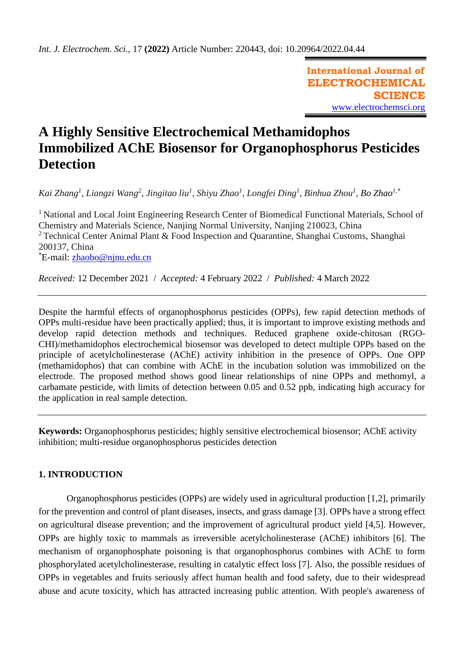**International Journal of ELECTROCHEMICAL SCIENCE** [www.electrochemsci.org](http://www.electrochemsci.org/)

# **A Highly Sensitive Electrochemical Methamidophos Immobilized AChE Biosensor for Organophosphorus Pesticides Detection**

*Kai Zhang<sup>1</sup> , Liangzi Wang<sup>2</sup> , Jingitao liu<sup>1</sup> , Shiyu Zhao<sup>1</sup> , Longfei Ding<sup>1</sup> , Binhua Zhou<sup>1</sup> , Bo Zhao1,\**

<sup>1</sup> National and Local Joint Engineering Research Center of Biomedical Functional Materials, School of Chemistry and Materials Science, Nanjing Normal University, Nanjing 210023, China <sup>2</sup> Technical Center Animal Plant & Food Inspection and Quarantine, Shanghai Customs, Shanghai 200137, China \*E-mail: [zhaobo@njnu.edu.cn](mailto:zhaobo@njnu.edu.cn)

*Received:* 12 December 2021/ *Accepted:* 4 February 2022 / *Published:* 4 March 2022

Despite the harmful effects of organophosphorus pesticides (OPPs), few rapid detection methods of OPPs multi-residue have been practically applied; thus, it is important to improve existing methods and develop rapid detection methods and techniques. Reduced graphene oxide-chitosan (RGO-CHI)/methamidophos electrochemical biosensor was developed to detect multiple OPPs based on the principle of acetylcholinesterase (AChE) activity inhibition in the presence of OPPs. One OPP (methamidophos) that can combine with AChE in the incubation solution was immobilized on the electrode. The proposed method shows good linear relationships of nine OPPs and methomyl, a carbamate pesticide, with limits of detection between 0.05 and 0.52 ppb, indicating high accuracy for the application in real sample detection.

**Keywords:** Organophosphorus pesticides; highly sensitive electrochemical biosensor; AChE activity inhibition; multi-residue organophosphorus pesticides detection

# **1. INTRODUCTION**

Organophosphorus pesticides (OPPs) are widely used in agricultural production [1,2], primarily for the prevention and control of plant diseases, insects, and grass damage [3]. OPPs have a strong effect on agricultural disease prevention; and the improvement of agricultural product yield [4,5]. However, OPPs are highly toxic to mammals as irreversible acetylcholinesterase (AChE) inhibitors [6]. The mechanism of organophosphate poisoning is that organophosphorus combines with AChE to form phosphorylated acetylcholinesterase, resulting in catalytic effect loss [7]. Also, the possible residues of OPPs in vegetables and fruits seriously affect human health and food safety, due to their widespread abuse and acute toxicity, which has attracted increasing public attention. With people's awareness of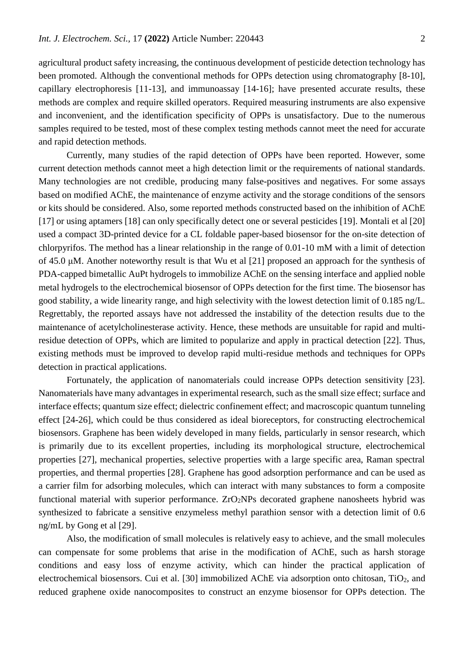agricultural product safety increasing, the continuous development of pesticide detection technology has been promoted. Although the conventional methods for OPPs detection using chromatography [8-10], capillary electrophoresis [11-13], and immunoassay [14-16]; have presented accurate results, these methods are complex and require skilled operators. Required measuring instruments are also expensive and inconvenient, and the identification specificity of OPPs is unsatisfactory. Due to the numerous samples required to be tested, most of these complex testing methods cannot meet the need for accurate and rapid detection methods.

Currently, many studies of the rapid detection of OPPs have been reported. However, some current detection methods cannot meet a high detection limit or the requirements of national standards. Many technologies are not credible, producing many false-positives and negatives. For some assays based on modified AChE, the maintenance of enzyme activity and the storage conditions of the sensors or kits should be considered. Also, some reported methods constructed based on the inhibition of AChE [17] or using aptamers [18] can only specifically detect one or several pesticides [19]. Montali et al [20] used a compact 3D-printed device for a CL foldable paper-based biosensor for the on-site detection of chlorpyrifos. The method has a linear relationship in the range of 0.01-10 mM with a limit of detection of 45.0 μM. Another noteworthy result is that Wu et al [21] proposed an approach for the synthesis of PDA-capped bimetallic AuPt hydrogels to immobilize AChE on the sensing interface and applied noble metal hydrogels to the electrochemical biosensor of OPPs detection for the first time. The biosensor has good stability, a wide linearity range, and high selectivity with the lowest detection limit of 0.185 ng/L. Regrettably, the reported assays have not addressed the instability of the detection results due to the maintenance of acetylcholinesterase activity. Hence, these methods are unsuitable for rapid and multiresidue detection of OPPs, which are limited to popularize and apply in practical detection [22]. Thus, existing methods must be improved to develop rapid multi-residue methods and techniques for OPPs detection in practical applications.

Fortunately, the application of nanomaterials could increase OPPs detection sensitivity [23]. Nanomaterials have many advantages in experimental research, such as the small size effect; surface and interface effects; quantum size effect; dielectric confinement effect; and macroscopic quantum tunneling effect [24-26], which could be thus considered as ideal bioreceptors, for constructing electrochemical biosensors. Graphene has been widely developed in many fields, particularly in sensor research, which is primarily due to its excellent properties, including its morphological structure, electrochemical properties [27], mechanical properties, selective properties with a large specific area, Raman spectral properties, and thermal properties [28]. Graphene has good adsorption performance and can be used as a carrier film for adsorbing molecules, which can interact with many substances to form a composite functional material with superior performance.  $ZrO_2NPs$  decorated graphene nanosheets hybrid was synthesized to fabricate a sensitive enzymeless methyl parathion sensor with a detection limit of 0.6 ng/mL by Gong et al [29].

Also, the modification of small molecules is relatively easy to achieve, and the small molecules can compensate for some problems that arise in the modification of AChE, such as harsh storage conditions and easy loss of enzyme activity, which can hinder the practical application of electrochemical biosensors. Cui et al. [30] immobilized AChE via adsorption onto chitosan, TiO<sub>2</sub>, and reduced graphene oxide nanocomposites to construct an enzyme biosensor for OPPs detection. The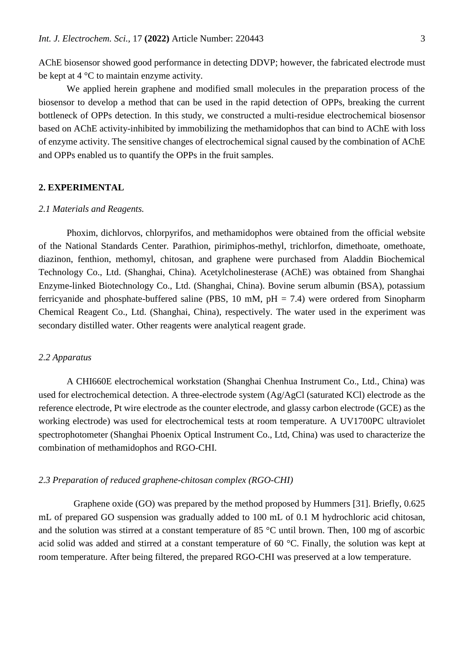AChE biosensor showed good performance in detecting DDVP; however, the fabricated electrode must be kept at  $4^{\circ}$ C to maintain enzyme activity.

We applied herein graphene and modified small molecules in the preparation process of the biosensor to develop a method that can be used in the rapid detection of OPPs, breaking the current bottleneck of OPPs detection. In this study, we constructed a multi-residue electrochemical biosensor based on AChE activity-inhibited by immobilizing the methamidophos that can bind to AChE with loss of enzyme activity. The sensitive changes of electrochemical signal caused by the combination of AChE and OPPs enabled us to quantify the OPPs in the fruit samples.

# **2. EXPERIMENTAL**

#### *2.1 Materials and Reagents.*

Phoxim, dichlorvos, chlorpyrifos, and methamidophos were obtained from the official website of the National Standards Center. Parathion, pirimiphos-methyl, trichlorfon, dimethoate, omethoate, diazinon, fenthion, methomyl, chitosan, and graphene were purchased from Aladdin Biochemical Technology Co., Ltd. (Shanghai, China). Acetylcholinesterase (AChE) was obtained from Shanghai Enzyme-linked Biotechnology Co., Ltd. (Shanghai, China). Bovine serum albumin (BSA), potassium ferricyanide and phosphate-buffered saline (PBS, 10 mM,  $pH = 7.4$ ) were ordered from Sinopharm Chemical Reagent Co., Ltd. (Shanghai, China), respectively. The water used in the experiment was secondary distilled water. Other reagents were analytical reagent grade.

# *2.2 Apparatus*

A CHI660E electrochemical workstation (Shanghai Chenhua Instrument Co., Ltd., China) was used for electrochemical detection. A three-electrode system (Ag/AgCl (saturated KCl) electrode as the reference electrode, Pt wire electrode as the counter electrode, and glassy carbon electrode (GCE) as the working electrode) was used for electrochemical tests at room temperature. A UV1700PC ultraviolet spectrophotometer (Shanghai Phoenix Optical Instrument Co., Ltd, China) was used to characterize the combination of methamidophos and RGO-CHI.

# *2.3 Preparation of reduced graphene-chitosan complex (RGO-CHI)*

 Graphene oxide (GO) was prepared by the method proposed by Hummers [31]. Briefly, 0.625 mL of prepared GO suspension was gradually added to 100 mL of 0.1 M hydrochloric acid chitosan, and the solution was stirred at a constant temperature of 85 °C until brown. Then, 100 mg of ascorbic acid solid was added and stirred at a constant temperature of 60 °C. Finally, the solution was kept at room temperature. After being filtered, the prepared RGO-CHI was preserved at a low temperature.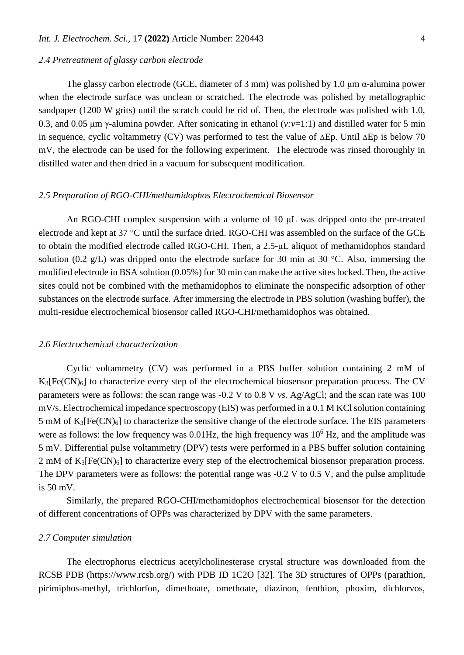#### *2.4 Pretreatment of glassy carbon electrode*

The glassy carbon electrode (GCE, diameter of 3 mm) was polished by 1.0  $\mu$ m  $\alpha$ -alumina power when the electrode surface was unclean or scratched. The electrode was polished by metallographic sandpaper (1200 W grits) until the scratch could be rid of. Then, the electrode was polished with 1.0, 0.3, and 0.05 μm γ-alumina powder. After sonicating in ethanol (*v:v*=1:1) and distilled water for 5 min in sequence, cyclic voltammetry (CV) was performed to test the value of  $\Delta$ Ep. Until  $\Delta$ Ep is below 70 mV, the electrode can be used for the following experiment. The electrode was rinsed thoroughly in distilled water and then dried in a vacuum for subsequent modification.

## *2.5 Preparation of RGO-CHI/methamidophos Electrochemical Biosensor*

An RGO-CHI complex suspension with a volume of 10 μL was dripped onto the pre-treated electrode and kept at 37 °C until the surface dried. RGO-CHI was assembled on the surface of the GCE to obtain the modified electrode called RGO-CHI. Then, a 2.5-μL aliquot of methamidophos standard solution (0.2 g/L) was dripped onto the electrode surface for 30 min at 30  $^{\circ}$ C. Also, immersing the modified electrode in BSA solution (0.05%) for 30 min can make the active sites locked. Then, the active sites could not be combined with the methamidophos to eliminate the nonspecific adsorption of other substances on the electrode surface. After immersing the electrode in PBS solution (washing buffer), the multi-residue electrochemical biosensor called RGO-CHI/methamidophos was obtained.

#### *2.6 Electrochemical characterization*

Cyclic voltammetry (CV) was performed in a PBS buffer solution containing 2 mM of  $K_3[Fe(CN)_6]$  to characterize every step of the electrochemical biosensor preparation process. The CV parameters were as follows: the scan range was -0.2 V to 0.8 V *vs.* Ag/AgCl; and the scan rate was 100 mV/s. Electrochemical impedance spectroscopy (EIS) was performed in a 0.1 M KCl solution containing  $5 \text{ mM of } K_3[\text{Fe(CN)}_6]$  to characterize the sensitive change of the electrode surface. The EIS parameters were as follows: the low frequency was  $0.01$ Hz, the high frequency was  $10<sup>6</sup>$  Hz, and the amplitude was 5 mV. Differential pulse voltammetry (DPV) tests were performed in a PBS buffer solution containing  $2 \text{ mM of } K_3[\text{Fe(CN)}_6]$  to characterize every step of the electrochemical biosensor preparation process. The DPV parameters were as follows: the potential range was  $-0.2$  V to 0.5 V, and the pulse amplitude is 50 mV.

Similarly, the prepared RGO-CHI/methamidophos electrochemical biosensor for the detection of different concentrations of OPPs was characterized by DPV with the same parameters.

#### *2.7 Computer simulation*

The electrophorus electricus acetylcholinesterase crystal structure was downloaded from the RCSB PDB (https://www.rcsb.org/) with PDB ID 1C2O [32]. The 3D structures of OPPs (parathion, pirimiphos-methyl, trichlorfon, dimethoate, omethoate, diazinon, fenthion, phoxim, dichlorvos,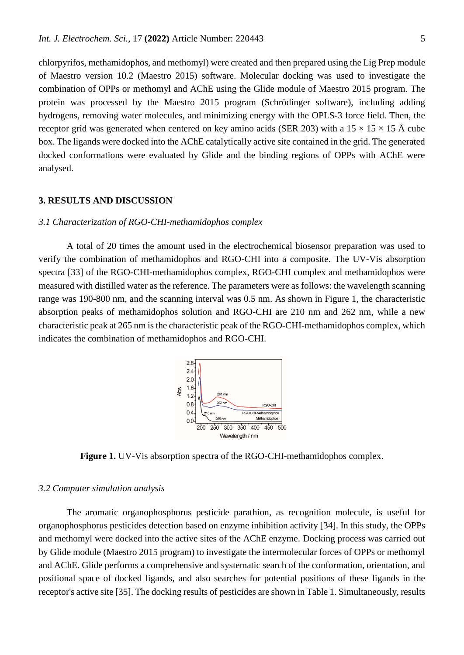chlorpyrifos, methamidophos, and methomyl) were created and then prepared using the Lig Prep module of Maestro version 10.2 (Maestro 2015) software. Molecular docking was used to investigate the combination of OPPs or methomyl and AChE using the Glide module of Maestro 2015 program. The protein was processed by the Maestro 2015 program (Schrödinger software), including adding hydrogens, removing water molecules, and minimizing energy with the OPLS-3 force field. Then, the receptor grid was generated when centered on key amino acids (SER 203) with a  $15 \times 15 \times 15$  Å cube box. The ligands were docked into the AChE catalytically active site contained in the grid. The generated docked conformations were evaluated by Glide and the binding regions of OPPs with AChE were analysed.

#### **3. RESULTS AND DISCUSSION**

#### *3.1 Characterization of RGO-CHI-methamidophos complex*

A total of 20 times the amount used in the electrochemical biosensor preparation was used to verify the combination of methamidophos and RGO-CHI into a composite. The UV-Vis absorption spectra [33] of the RGO-CHI-methamidophos complex, RGO-CHI complex and methamidophos were measured with distilled water as the reference. The parameters were as follows: the wavelength scanning range was 190-800 nm, and the scanning interval was 0.5 nm. As shown in Figure 1, the characteristic absorption peaks of methamidophos solution and RGO-CHI are 210 nm and 262 nm, while a new characteristic peak at 265 nm is the characteristic peak of the RGO-CHI-methamidophos complex, which indicates the combination of methamidophos and RGO-CHI.



**Figure 1.** UV-Vis absorption spectra of the RGO-CHI-methamidophos complex.

## *3.2 Computer simulation analysis*

The aromatic organophosphorus pesticide parathion, as recognition molecule, is useful for organophosphorus pesticides detection based on enzyme inhibition activity [34]. In this study, the OPPs and methomyl were docked into the active sites of the AChE enzyme. Docking process was carried out by Glide module (Maestro 2015 program) to investigate the intermolecular forces of OPPs or methomyl and AChE. Glide performs a comprehensive and systematic search of the conformation, orientation, and positional space of docked ligands, and also searches for potential positions of these ligands in the receptor's active site [35]. The docking results of pesticides are shown in Table 1. Simultaneously, results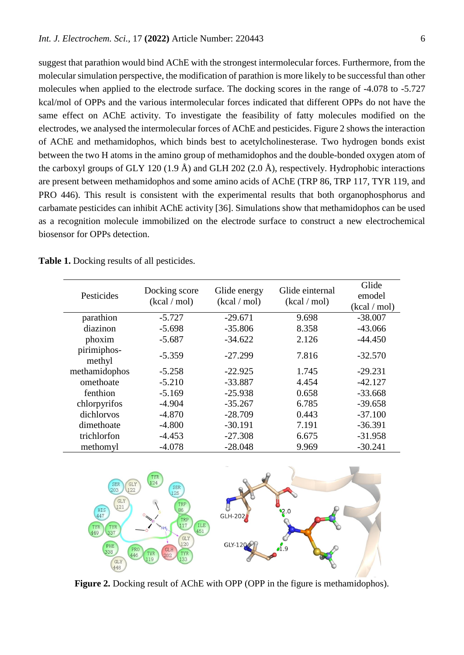suggest that parathion would bind AChE with the strongest intermolecular forces. Furthermore, from the molecular simulation perspective, the modification of parathion is more likely to be successful than other molecules when applied to the electrode surface. The docking scores in the range of -4.078 to -5.727 kcal/mol of OPPs and the various intermolecular forces indicated that different OPPs do not have the same effect on AChE activity. To investigate the feasibility of fatty molecules modified on the electrodes, we analysed the intermolecular forces of AChE and pesticides. Figure 2 shows the interaction of AChE and methamidophos, which binds best to acetylcholinesterase. Two hydrogen bonds exist between the two H atoms in the amino group of methamidophos and the double-bonded oxygen atom of the carboxyl groups of GLY 120 (1.9 Å) and GLH 202 (2.0 Å), respectively. Hydrophobic interactions are present between methamidophos and some amino acids of AChE (TRP 86, TRP 117, TYR 119, and PRO 446). This result is consistent with the experimental results that both organophosphorus and carbamate pesticides can inhibit AChE activity [36]. Simulations show that methamidophos can be used as a recognition molecule immobilized on the electrode surface to construct a new electrochemical biosensor for OPPs detection.

|  |  |  |  | <b>Table 1.</b> Docking results of all pesticides. |
|--|--|--|--|----------------------------------------------------|
|--|--|--|--|----------------------------------------------------|

| Pesticides            | Docking score<br>(kcal / mol) | Glide energy<br>(kcal / mol) | Glide einternal<br>(kcal / mol) | Glide<br>emodel<br>(kcal / mol) |
|-----------------------|-------------------------------|------------------------------|---------------------------------|---------------------------------|
| parathion             | $-5.727$                      | $-29.671$                    | 9.698                           | $-38.007$                       |
| diazinon              | $-5.698$                      | $-35.806$                    | 8.358                           | $-43.066$                       |
| phoxim                | $-5.687$                      | $-34.622$                    | 2.126                           | $-44.450$                       |
| pirimiphos-<br>methyl | $-5.359$                      | $-27.299$                    | 7.816                           | $-32.570$                       |
| methamidophos         | $-5.258$                      | $-22.925$                    | 1.745                           | $-29.231$                       |
| omethoate             | $-5.210$                      | $-33.887$                    | 4.454                           | $-42.127$                       |
| fenthion              | $-5.169$                      | $-25.938$                    | 0.658                           | $-33.668$                       |
| chlorpyrifos          | $-4.904$                      | $-35.267$                    | 6.785                           | $-39.658$                       |
| dichlorvos            | $-4.870$                      | $-28.709$                    | 0.443                           | $-37.100$                       |
| dimethoate            | $-4.800$                      | $-30.191$                    | 7.191                           | $-36.391$                       |
| trichlorfon           | $-4.453$                      | $-27.308$                    | 6.675                           | $-31.958$                       |
| methomyl              | $-4.078$                      | $-28.048$                    | 9.969                           | $-30.241$                       |



Figure 2. Docking result of AChE with OPP (OPP in the figure is methamidophos).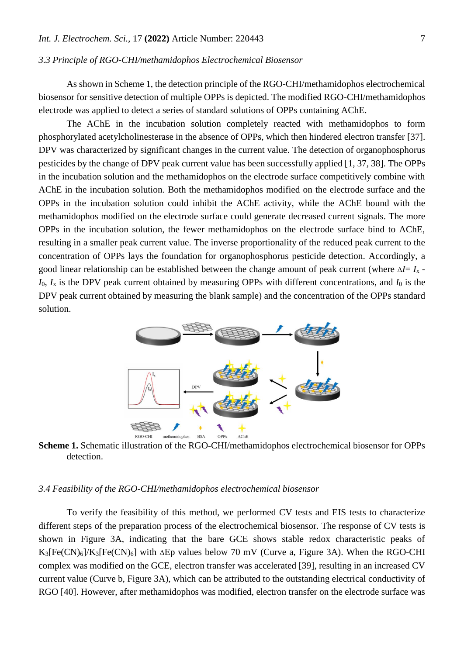#### *3.3 Principle of RGO-CHI/methamidophos Electrochemical Biosensor*

As shown in Scheme 1, the detection principle of the RGO-CHI/methamidophos electrochemical biosensor for sensitive detection of multiple OPPs is depicted. The modified RGO-CHI/methamidophos electrode was applied to detect a series of standard solutions of OPPs containing AChE.

The AChE in the incubation solution completely reacted with methamidophos to form phosphorylated acetylcholinesterase in the absence of OPPs, which then hindered electron transfer [37]. DPV was characterized by significant changes in the current value. The detection of organophosphorus pesticides by the change of DPV peak current value has been successfully applied [1, 37, 38]. The OPPs in the incubation solution and the methamidophos on the electrode surface competitively combine with AChE in the incubation solution. Both the methamidophos modified on the electrode surface and the OPPs in the incubation solution could inhibit the AChE activity, while the AChE bound with the methamidophos modified on the electrode surface could generate decreased current signals. The more OPPs in the incubation solution, the fewer methamidophos on the electrode surface bind to AChE, resulting in a smaller peak current value. The inverse proportionality of the reduced peak current to the concentration of OPPs lays the foundation for organophosphorus pesticide detection. Accordingly, a good linear relationship can be established between the change amount of peak current (where Δ*I*= *I*<sup>x</sup> - *I*0, *I*<sup>x</sup> is the DPV peak current obtained by measuring OPPs with different concentrations, and *I*<sup>0</sup> is the DPV peak current obtained by measuring the blank sample) and the concentration of the OPPs standard solution.



**Scheme 1.** Schematic illustration of the RGO-CHI/methamidophos electrochemical biosensor for OPPs detection.

## *3.4 Feasibility of the RGO-CHI/methamidophos electrochemical biosensor*

To verify the feasibility of this method, we performed CV tests and EIS tests to characterize different steps of the preparation process of the electrochemical biosensor. The response of CV tests is shown in Figure 3A, indicating that the bare GCE shows stable redox characteristic peaks of  $K_3[Fe(CN)_6]/K_3[Fe(CN)_6]$  with  $\Delta Ep$  values below 70 mV (Curve a, Figure 3A). When the RGO-CHI complex was modified on the GCE, electron transfer was accelerated [39], resulting in an increased CV current value (Curve b, Figure 3A), which can be attributed to the outstanding electrical conductivity of RGO [40]. However, after methamidophos was modified, electron transfer on the electrode surface was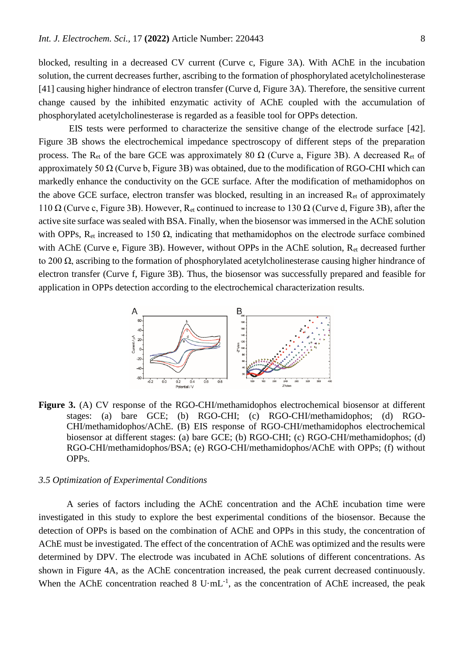blocked, resulting in a decreased CV current (Curve c, Figure 3A). With AChE in the incubation solution, the current decreases further, ascribing to the formation of phosphorylated acetylcholinesterase [41] causing higher hindrance of electron transfer (Curve d, Figure 3A). Therefore, the sensitive current change caused by the inhibited enzymatic activity of AChE coupled with the accumulation of phosphorylated acetylcholinesterase is regarded as a feasible tool for OPPs detection.

EIS tests were performed to characterize the sensitive change of the electrode surface [42]. Figure 3B shows the electrochemical impedance spectroscopy of different steps of the preparation process. The R<sub>et</sub> of the bare GCE was approximately 80  $\Omega$  (Curve a, Figure 3B). A decreased R<sub>et</sub> of approximately 50  $\Omega$  (Curve b, Figure 3B) was obtained, due to the modification of RGO-CHI which can markedly enhance the conductivity on the GCE surface. After the modification of methamidophos on the above GCE surface, electron transfer was blocked, resulting in an increased  $R_{et}$  of approximately 110  $\Omega$  (Curve c, Figure 3B). However, R<sub>et</sub> continued to increase to 130  $\Omega$  (Curve d, Figure 3B), after the active site surface was sealed with BSA. Finally, when the biosensor was immersed in the AChE solution with OPPs,  $R_{et}$  increased to 150  $\Omega$ , indicating that methamidophos on the electrode surface combined with AChE (Curve e, Figure 3B). However, without OPPs in the AChE solution, R<sub>et</sub> decreased further to 200 Ω, ascribing to the formation of phosphorylated acetylcholinesterase causing higher hindrance of electron transfer (Curve f, Figure 3B). Thus, the biosensor was successfully prepared and feasible for application in OPPs detection according to the electrochemical characterization results.



**Figure 3.** (A) CV response of the RGO-CHI/methamidophos electrochemical biosensor at different stages: (a) bare GCE; (b) RGO-CHI; (c) RGO-CHI/methamidophos; (d) RGO-CHI/methamidophos/AChE. (B) EIS response of RGO-CHI/methamidophos electrochemical biosensor at different stages: (a) bare GCE; (b) RGO-CHI; (c) RGO-CHI/methamidophos; (d) RGO-CHI/methamidophos/BSA; (e) RGO-CHI/methamidophos/AChE with OPPs; (f) without OPPs.

# *3.5 Optimization of Experimental Conditions*

A series of factors including the AChE concentration and the AChE incubation time were investigated in this study to explore the best experimental conditions of the biosensor. Because the detection of OPPs is based on the combination of AChE and OPPs in this study, the concentration of AChE must be investigated. The effect of the concentration of AChE was optimized and the results were determined by DPV. The electrode was incubated in AChE solutions of different concentrations. As shown in Figure 4A, as the AChE concentration increased, the peak current decreased continuously. When the AChE concentration reached 8  $U \cdot mL^{-1}$ , as the concentration of AChE increased, the peak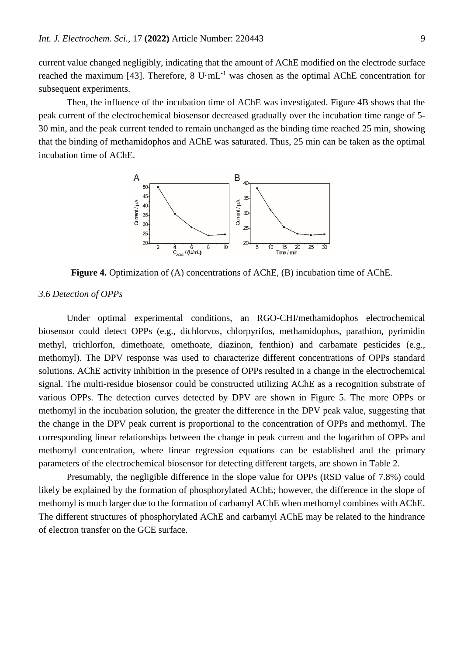current value changed negligibly, indicating that the amount of AChE modified on the electrode surface reached the maximum [43]. Therefore,  $8 \text{ U} \cdot \text{m}$ L<sup>-1</sup> was chosen as the optimal AChE concentration for subsequent experiments.

Then, the influence of the incubation time of AChE was investigated. Figure 4B shows that the peak current of the electrochemical biosensor decreased gradually over the incubation time range of 5- 30 min, and the peak current tended to remain unchanged as the binding time reached 25 min, showing that the binding of methamidophos and AChE was saturated. Thus, 25 min can be taken as the optimal incubation time of AChE.



**Figure 4.** Optimization of (A) concentrations of AChE, (B) incubation time of AChE.

#### *3.6 Detection of OPPs*

Under optimal experimental conditions, an RGO-CHI/methamidophos electrochemical biosensor could detect OPPs (e.g., dichlorvos, chlorpyrifos, methamidophos, parathion, pyrimidin methyl, trichlorfon, dimethoate, omethoate, diazinon, fenthion) and carbamate pesticides (e.g., methomyl). The DPV response was used to characterize different concentrations of OPPs standard solutions. AChE activity inhibition in the presence of OPPs resulted in a change in the electrochemical signal. The multi-residue biosensor could be constructed utilizing AChE as a recognition substrate of various OPPs. The detection curves detected by DPV are shown in Figure 5. The more OPPs or methomyl in the incubation solution, the greater the difference in the DPV peak value, suggesting that the change in the DPV peak current is proportional to the concentration of OPPs and methomyl. The corresponding linear relationships between the change in peak current and the logarithm of OPPs and methomyl concentration, where linear regression equations can be established and the primary parameters of the electrochemical biosensor for detecting different targets, are shown in Table 2.

Presumably, the negligible difference in the slope value for OPPs (RSD value of 7.8%) could likely be explained by the formation of phosphorylated AChE; however, the difference in the slope of methomyl is much larger due to the formation of carbamyl AChE when methomyl combines with AChE. The different structures of phosphorylated AChE and carbamyl AChE may be related to the hindrance of electron transfer on the GCE surface.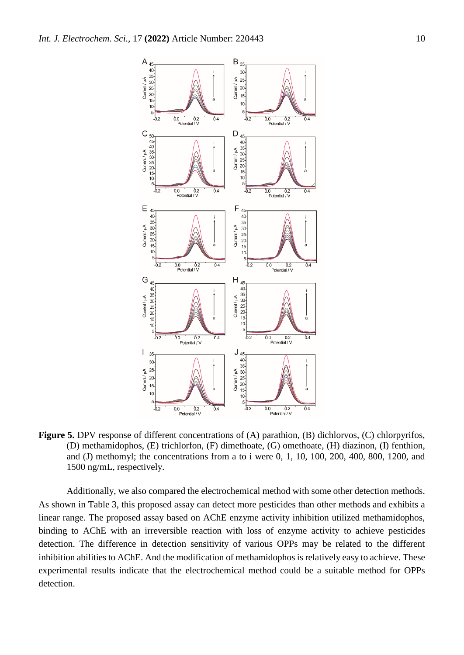

**Figure 5.** DPV response of different concentrations of (A) parathion, (B) dichlorvos, (C) chlorpyrifos, (D) methamidophos, (E) trichlorfon, (F) dimethoate, (G) omethoate, (H) diazinon, (I) fenthion, and (J) methomyl; the concentrations from a to i were 0, 1, 10, 100, 200, 400, 800, 1200, and 1500 ng/mL, respectively.

Additionally, we also compared the electrochemical method with some other detection methods. As shown in Table 3, this proposed assay can detect more pesticides than other methods and exhibits a linear range. The proposed assay based on AChE enzyme activity inhibition utilized methamidophos, binding to AChE with an irreversible reaction with loss of enzyme activity to achieve pesticides detection. The difference in detection sensitivity of various OPPs may be related to the different inhibition abilities to AChE. And the modification of methamidophos is relatively easy to achieve. These experimental results indicate that the electrochemical method could be a suitable method for OPPs detection.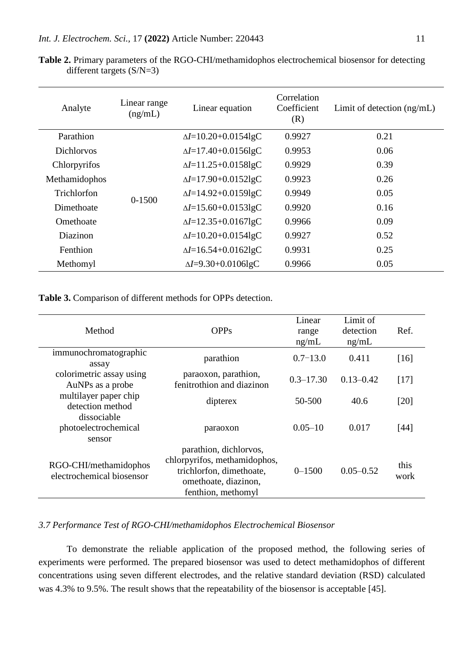| Analyte           | Linear range<br>(ng/mL) | Linear equation                        | Correlation<br>Coefficient<br>(R) | Limit of detection $(ng/mL)$ |
|-------------------|-------------------------|----------------------------------------|-----------------------------------|------------------------------|
| Parathion         |                         | $\Delta I = 10.20 + 0.0154$ lgC        | 0.9927                            | 0.21                         |
| <b>Dichlorvos</b> |                         | $\Delta I = 17.40 + 0.0156$ lgC        | 0.9953                            | 0.06                         |
| Chlorpyrifos      |                         | $\Delta I = 11.25 + 0.0158$ lgC        | 0.9929                            | 0.39                         |
| Methamidophos     | $0 - 1500$              | $\Delta I = 17.90 + 0.0152 \text{lgC}$ | 0.9923                            | 0.26                         |
| Trichlorfon       |                         | $\Delta I = 14.92 + 0.0159 \text{lgC}$ | 0.9949                            | 0.05                         |
| Dimethoate        |                         | $\Delta I = 15.60 + 0.0153 \text{lgC}$ | 0.9920                            | 0.16                         |
| Omethoate         |                         | $\Delta I = 12.35 + 0.0167lgC$         | 0.9966                            | 0.09                         |
| Diazinon          |                         | $\Delta I = 10.20 + 0.0154$ lgC        | 0.9927                            | 0.52                         |
| Fenthion          |                         | $\Delta I = 16.54 + 0.0162$ lgC        | 0.9931                            | 0.25                         |
| Methomyl          |                         | $\Delta I = 9.30 + 0.0106$ lgC         | 0.9966                            | 0.05                         |

**Table 2.** Primary parameters of the RGO-CHI/methamidophos electrochemical biosensor for detecting different targets (S/N=3)

**Table 3.** Comparison of different methods for OPPs detection.

| Method                                             | <b>OPPs</b>                                                                                                                      | Linear<br>range<br>ng/mL | Limit of<br>detection<br>ng/mL | Ref.         |
|----------------------------------------------------|----------------------------------------------------------------------------------------------------------------------------------|--------------------------|--------------------------------|--------------|
| immunochromatographic<br>assay                     | parathion                                                                                                                        | $0.7 - 13.0$             | 0.411                          | [16]         |
| colorimetric assay using<br>AuNPs as a probe       | paraoxon, parathion,<br>fenitrothion and diazinon                                                                                | $0.3 - 17.30$            | $0.13 - 0.42$                  | [17]         |
| multilayer paper chip<br>detection method          | dipterex                                                                                                                         | 50-500                   | 40.6                           | [20]         |
| dissociable<br>photoelectrochemical<br>sensor      | paraoxon                                                                                                                         | $0.05 - 10$              | 0.017                          | $[44]$       |
| RGO-CHI/methamidophos<br>electrochemical biosensor | parathion, dichlorvos,<br>chlorpyrifos, methamidophos,<br>trichlorfon, dimethoate,<br>omethoate, diazinon,<br>fenthion, methomyl | $0 - 1500$               | $0.05 - 0.52$                  | this<br>work |

# *3.7 Performance Test of RGO-CHI/methamidophos Electrochemical Biosensor*

To demonstrate the reliable application of the proposed method, the following series of experiments were performed. The prepared biosensor was used to detect methamidophos of different concentrations using seven different electrodes, and the relative standard deviation (RSD) calculated was 4.3% to 9.5%. The result shows that the repeatability of the biosensor is acceptable [45].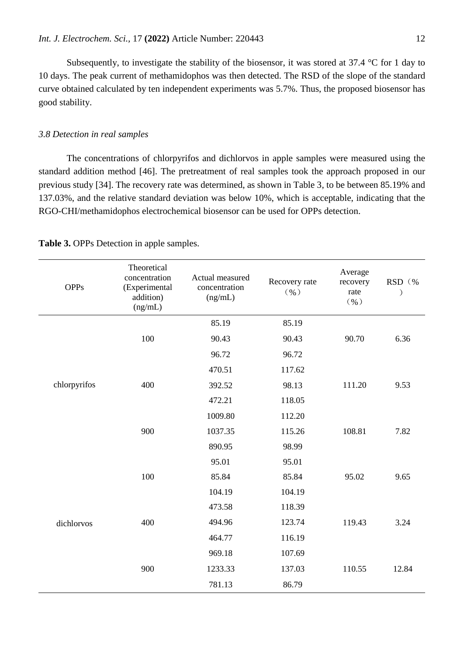Subsequently, to investigate the stability of the biosensor, it was stored at 37.4 °C for 1 day to 10 days. The peak current of methamidophos was then detected. The RSD of the slope of the standard curve obtained calculated by ten independent experiments was 5.7%. Thus, the proposed biosensor has good stability.

# *3.8 Detection in real samples*

The concentrations of chlorpyrifos and dichlorvos in apple samples were measured using the standard addition method [46]. The pretreatment of real samples took the approach proposed in our previous study [34]. The recovery rate was determined, as shown in Table 3, to be between 85.19% and 137.03%, and the relative standard deviation was below 10%, which is acceptable, indicating that the RGO-CHI/methamidophos electrochemical biosensor can be used for OPPs detection.

| <b>OPPs</b>  | Theoretical<br>concentration<br>(Experimental<br>addition)<br>(ng/mL) | Actual measured<br>concentration<br>(ng/mL) | Recovery rate<br>$($ $\%$ $)$ | Average<br>recovery<br>rate<br>$($ % $)$ | RSD (% |
|--------------|-----------------------------------------------------------------------|---------------------------------------------|-------------------------------|------------------------------------------|--------|
| chlorpyrifos |                                                                       | 85.19                                       | 85.19                         |                                          |        |
|              | 100                                                                   | 90.43                                       | 90.43                         | 90.70                                    | 6.36   |
|              |                                                                       | 96.72                                       | 96.72                         |                                          |        |
|              |                                                                       | 470.51                                      | 117.62                        |                                          |        |
|              | 400                                                                   | 392.52                                      | 98.13                         | 111.20                                   | 9.53   |
|              |                                                                       | 472.21                                      | 118.05                        |                                          |        |
|              |                                                                       | 1009.80                                     | 112.20                        |                                          |        |
|              | 900                                                                   | 1037.35                                     | 115.26                        | 108.81                                   | 7.82   |
|              |                                                                       | 890.95                                      | 98.99                         |                                          |        |
| dichlorvos   |                                                                       | 95.01                                       | 95.01                         |                                          |        |
|              | 100                                                                   | 85.84                                       | 85.84                         | 95.02                                    | 9.65   |
|              |                                                                       | 104.19                                      | 104.19                        |                                          |        |
|              |                                                                       | 473.58                                      | 118.39                        |                                          |        |
|              | 400                                                                   | 494.96                                      | 123.74                        | 119.43                                   | 3.24   |
|              |                                                                       | 464.77                                      | 116.19                        |                                          |        |
|              |                                                                       | 969.18                                      | 107.69                        |                                          |        |
|              | 900                                                                   | 1233.33                                     | 137.03                        | 110.55                                   | 12.84  |
|              |                                                                       | 781.13                                      | 86.79                         |                                          |        |

**Table 3.** OPPs Detection in apple samples.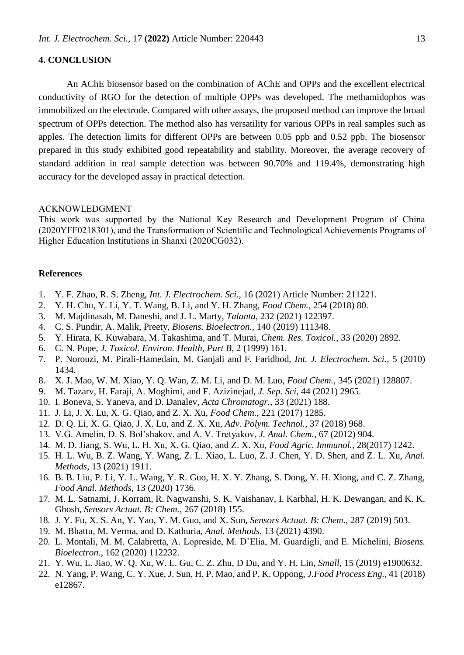# **4. CONCLUSION**

An AChE biosensor based on the combination of AChE and OPPs and the excellent electrical conductivity of RGO for the detection of multiple OPPs was developed. The methamidophos was immobilized on the electrode. Compared with other assays, the proposed method can improve the broad spectrum of OPPs detection. The method also has versatility for various OPPs in real samples such as apples. The detection limits for different OPPs are between 0.05 ppb and 0.52 ppb. The biosensor prepared in this study exhibited good repeatability and stability. Moreover, the average recovery of standard addition in real sample detection was between 90.70% and 119.4%, demonstrating high accuracy for the developed assay in practical detection.

#### ACKNOWLEDGMENT

This work was supported by the National Key Research and Development Program of China (2020YFF0218301), and the Transformation of Scientific and Technological Achievements Programs of Higher Education Institutions in Shanxi (2020CG032).

## **References**

- 1. Y. F. Zhao, R. S. Zheng, *Int. J. Electrochem. Sci*., 16 (2021) Article Number: 211221.
- 2. Y. H. Chu, Y. Li, Y. T. Wang, B. Li, and Y. H. Zhang, *Food Chem.*, 254 (2018) 80.
- 3. M. Majdinasab, M. Daneshi, and J. L. Marty, *Talanta*, 232 (2021) 122397.
- 4. C. S. Pundir, A. Malik, Preety, *Biosens. Bioelectron.*, 140 (2019) 111348.
- 5. Y. Hirata, K. Kuwabara, M. Takashima, and T. Murai, *Chem. Res. Toxicol.*, 33 (2020) 2892.
- 6. C. N. Pope, *J. Toxicol. Environ. Health, Part B*, 2 (1999) 161.
- 7. P. Norouzi, M. Pirali-Hamedain, M. Ganjali and F. Faridbod, *Int. J. Electrochem. Sci.*, 5 (2010) 1434.
- 8. X. J. Mao, W. M. Xiao, Y. Q. Wan, Z. M. Li, and D. M. Luo, *Food Chem.*, 345 (2021) 128807.
- 9. M. Tazarv, H. Faraji, A. Moghimi, and F. Azizinejad, *J. Sep. Sci*, 44 (2021) 2965.
- 10. I. Boneva, S. Yaneva, and D. Danalev, *Acta Chromatogr.*, 33 (2021) 188.
- 11. J. Li, J. X. Lu, X. G. Qiao, and Z. X. Xu, *Food Chem.*, 221 (2017) 1285.
- 12. D. Q. Li, X. G. Qiao, J. X. Lu, and Z. X. Xu, *Adv. Polym. Technol.*, 37 (2018) 968.
- 13. V.G. Amelin, D. S. Bol'shakov, and A. V. Tretyakov, *J. Anal. Chem.*, 67 (2012) 904.
- 14. M. D. Jiang, S. Wu, L. H. Xu, X. G. Qiao, and Z. X. Xu, *Food Agric. Immunol.*, 28(2017) 1242.
- 15. H. L. Wu, B. Z. Wang, Y. Wang, Z. L. Xiao, L. Luo, Z. J. Chen, Y. D. Shen, and Z. L. Xu, *Anal. Methods*, 13 (2021) 1911.
- 16. B. B. Liu, P. Li, Y. L. Wang, Y. R. Guo, H. X. Y. Zhang, S. Dong, Y. H. Xiong, and C. Z. Zhang, *Food Anal. Methods*, 13 (2020) 1736.
- 17. M. L. Satnami, J. Korram, R. Nagwanshi, S. K. Vaishanav, I. Karbhal, H. K. Dewangan, and K. K. Ghosh, *Sensors Actuat. B: Chem.*, 267 (2018) 155.
- 18. J. Y. Fu, X. S. An, Y. Yao, Y. M. Guo, and X. Sun, *Sensors Actuat. B: Chem.*, 287 (2019) 503.
- 19. M. Bhattu, M. Verma, and D. Kathuria, *Anal. Methods*, 13 (2021) 4390.
- 20. L. Montali, M. M. Calabretta, A. Lopreside, M. D'Elia, M. Guardigli, and E. Michelini, *Biosens. Bioelectron.*, 162 (2020) 112232.
- 21. Y. Wu, L. Jiao, W. Q. Xu, W. L. Gu, C. Z. Zhu, D Du, and Y. H. Lin, *Small*, 15 (2019) e1900632.
- 22. N. Yang, P. Wang, C. Y. Xue, J. Sun, H. P. Mao, and P. K. Oppong, *J.Food Process Eng.*, 41 (2018) e12867.